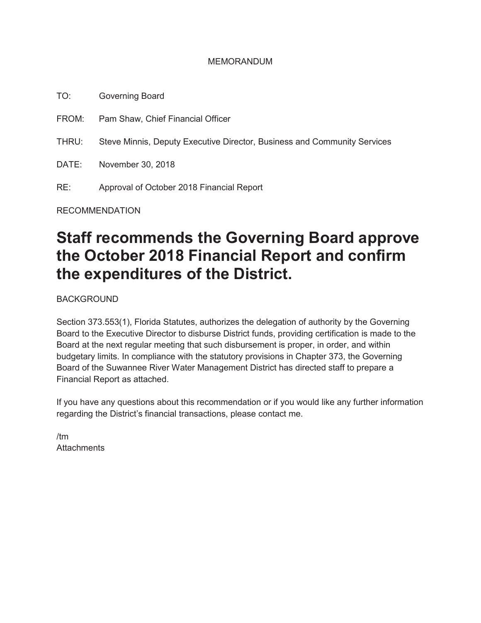#### MEMORANDUM

TO: Governing Board

FROM: Pam Shaw, Chief Financial Officer

THRU: Steve Minnis, Deputy Executive Director, Business and Community Services

DATE: November 30, 2018

RE: Approval of October 2018 Financial Report

RECOMMENDATION

## **Staff recommends the Governing Board approve the October 2018 Financial Report and confirm the expenditures of the District.**

BACKGROUND

Section 373.553(1), Florida Statutes, authorizes the delegation of authority by the Governing Board to the Executive Director to disburse District funds, providing certification is made to the Board at the next regular meeting that such disbursement is proper, in order, and within budgetary limits. In compliance with the statutory provisions in Chapter 373, the Governing Board of the Suwannee River Water Management District has directed staff to prepare a Financial Report as attached.

If you have any questions about this recommendation or if you would like any further information regarding the District's financial transactions, please contact me.

/tm **Attachments**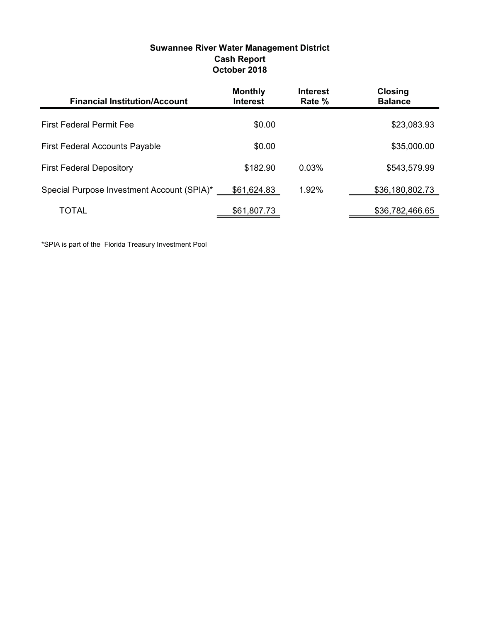| <b>Cash Report</b><br>October 2018    |                                   |                           |                                  |  |
|---------------------------------------|-----------------------------------|---------------------------|----------------------------------|--|
| <b>Financial Institution/Account</b>  | <b>Monthly</b><br><b>Interest</b> | <b>Interest</b><br>Rate % | <b>Closing</b><br><b>Balance</b> |  |
| <b>First Federal Permit Fee</b>       | \$0.00                            |                           | \$23,083.93                      |  |
| <b>First Federal Accounts Payable</b> | \$0.00                            |                           | \$35,000.00                      |  |
| <b>First Federal Depository</b>       | \$182.90                          | 0.03%                     | \$543,579.99                     |  |

Special Purpose Investment Account (SPIA)\*  $\frac{$61,624.83}{1.92\%}$  1.92% \$36,180,802.73

TOTAL 561,807.73 \$61,807.73

# Suwannee River Water Management District

\*SPIA is part of the Florida Treasury Investment Pool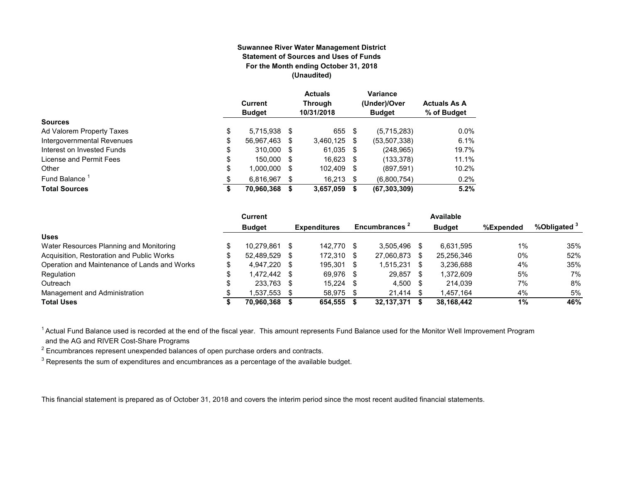#### **Suwannee River Water Management District Statement of Sources and Uses of Funds For the Month ending October 31, 2018 (Unaudited)**

|                            | Current<br><b>Budget</b> |     | <b>Actuals</b><br><b>Through</b><br>10/31/2018 |      | Variance<br>(Under)/Over<br><b>Budget</b> | <b>Actuals As A</b><br>% of Budget |
|----------------------------|--------------------------|-----|------------------------------------------------|------|-------------------------------------------|------------------------------------|
| <b>Sources</b>             |                          |     |                                                |      |                                           |                                    |
| Ad Valorem Property Taxes  | \$<br>5,715,938 \$       |     | 655 \$                                         |      | (5,715,283)                               | $0.0\%$                            |
| Intergovernmental Revenues | \$<br>56,967,463 \$      |     | 3,460,125                                      | S    | (53, 507, 338)                            | 6.1%                               |
| Interest on Invested Funds | \$<br>310.000 \$         |     | 61,035 \$                                      |      | (248, 965)                                | 19.7%                              |
| License and Permit Fees    | \$<br>150.000 \$         |     | $16,623$ \$                                    |      | (133, 378)                                | 11.1%                              |
| Other                      | \$<br>1,000,000          | \$. | 102,409                                        | - \$ | (897, 591)                                | 10.2%                              |
| Fund Balance               | \$<br>6.816.967          |     | $16.213$ \$                                    |      | (6,800,754)                               | 0.2%                               |
| <b>Total Sources</b>       | \$<br>70,960,368         | S   | 3,657,059                                      | S    | (67, 303, 309)                            | 5.2%                               |

|                                              | <b>Current</b> |      |                     |      |                           |    | <b>Available</b> |           |                         |
|----------------------------------------------|----------------|------|---------------------|------|---------------------------|----|------------------|-----------|-------------------------|
|                                              | <b>Budget</b>  |      | <b>Expenditures</b> |      | Encumbrances <sup>2</sup> |    | <b>Budget</b>    | %Expended | %Obligated <sup>3</sup> |
| <b>Uses</b>                                  |                |      |                     |      |                           |    |                  |           |                         |
| Water Resources Planning and Monitoring      | 10.279.861     |      | 142.770             | -\$  | 3.505.496                 |    | 6.631.595        | 1%        | 35%                     |
| Acquisition, Restoration and Public Works    | 52.489.529     |      | 172.310             | -S   | 27,060,873                | -S | 25.256.346       | $0\%$     | 52%                     |
| Operation and Maintenance of Lands and Works | 4.947.220 \$   |      | 195.301             | - \$ | 1.515.231                 | \$ | 3.236.688        | 4%        | 35%                     |
| Regulation                                   | 1.472.442 \$   |      | 69,976              | -\$  | 29.857                    |    | 1.372.609        | 5%        | 7%                      |
| Outreach                                     | 233,763        | - \$ | 15,224              | \$.  | 4,500                     | -S | 214.039          | 7%        | 8%                      |
| Management and Administration                | .537.553       |      | 58.975              | \$.  | 21.414                    |    | 1.457.164        | 4%        | 5%                      |
| <b>Total Uses</b>                            | 70.960.368     |      | 654.555             |      | 32,137,371                |    | 38.168.442       | 1%        | 46%                     |

<sup>1</sup> Actual Fund Balance used is recorded at the end of the fiscal year. This amount represents Fund Balance used for the Monitor Well Improvement Program and the AG and RIVER Cost-Share Programs

 $^{\rm 2}$  Encumbrances represent unexpended balances of open purchase orders and contracts.

 $^3$  Represents the sum of expenditures and encumbrances as a percentage of the available budget.

This financial statement is prepared as of October 31, 2018 and covers the interim period since the most recent audited financial statements.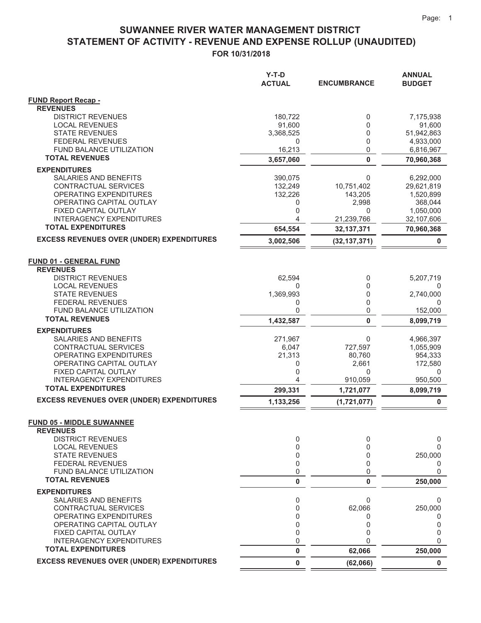## SUWANNEE RIVER WATER MANAGEMENT DISTRICT STATEMENT OF ACTIVITY - REVENUE AND EXPENSE ROLLUP (UNAUDITED)

FOR 10/31/2018

|                                                           | Y-T-D<br><b>ACTUAL</b> | <b>ENCUMBRANCE</b> | ANNUAL<br><b>BUDGET</b> |
|-----------------------------------------------------------|------------------------|--------------------|-------------------------|
| <b>FUND Report Recap -</b>                                |                        |                    |                         |
| <b>REVENUES</b>                                           |                        |                    |                         |
| <b>DISTRICT REVENUES</b>                                  | 180,722                | 0                  | 7,175,938               |
| <b>LOCAL REVENUES</b>                                     | 91,600                 | 0                  | 91,600                  |
| <b>STATE REVENUES</b>                                     | 3,368,525              | 0                  | 51,942,863              |
| <b>FEDERAL REVENUES</b><br>FUND BALANCE UTILIZATION       | 0<br>16,213            | 0<br>$\mathbf 0$   | 4,933,000<br>6,816,967  |
| <b>TOTAL REVENUES</b>                                     | 3,657,060              | $\bf{0}$           | 70,960,368              |
| <b>EXPENDITURES</b>                                       |                        |                    |                         |
| SALARIES AND BENEFITS                                     | 390,075                | 0                  | 6,292,000               |
| CONTRACTUAL SERVICES                                      | 132,249                | 10,751,402         | 29,621,819              |
| <b>OPERATING EXPENDITURES</b>                             | 132,226                | 143,205            | 1,520,899               |
| OPERATING CAPITAL OUTLAY                                  | 0                      | 2,998              | 368,044                 |
| FIXED CAPITAL OUTLAY                                      | 0                      | 0                  | 1,050,000               |
| <b>INTERAGENCY EXPENDITURES</b>                           | 4                      | 21,239,766         | 32,107,606              |
| <b>TOTAL EXPENDITURES</b>                                 | 654,554                | 32, 137, 371       | 70,960,368              |
| <b>EXCESS REVENUES OVER (UNDER) EXPENDITURES</b>          | 3,002,506              | (32, 137, 371)     | 0                       |
| <b>FUND 01 - GENERAL FUND</b>                             |                        |                    |                         |
| <b>REVENUES</b>                                           |                        |                    |                         |
| <b>DISTRICT REVENUES</b>                                  | 62,594                 | 0                  | 5,207,719               |
| <b>LOCAL REVENUES</b>                                     | 0                      | 0                  | 0                       |
| <b>STATE REVENUES</b>                                     | 1,369,993              | 0                  | 2,740,000               |
| <b>FEDERAL REVENUES</b>                                   | 0                      | 0                  | $\Omega$                |
| <b>FUND BALANCE UTILIZATION</b>                           | 0                      | 0                  | 152,000                 |
| <b>TOTAL REVENUES</b>                                     | 1,432,587              | $\bf{0}$           | 8,099,719               |
| <b>EXPENDITURES</b>                                       |                        |                    |                         |
| SALARIES AND BENEFITS                                     | 271,967                | 0                  | 4,966,397               |
| CONTRACTUAL SERVICES                                      | 6,047                  | 727,597            | 1,055,909               |
| OPERATING EXPENDITURES<br>OPERATING CAPITAL OUTLAY        | 21,313<br>0            | 80,760<br>2,661    | 954,333<br>172,580      |
| FIXED CAPITAL OUTLAY                                      | 0                      | 0                  | 0                       |
| INTERAGENCY EXPENDITURES                                  | 4                      | 910,059            | 950,500                 |
| <b>TOTAL EXPENDITURES</b>                                 | 299,331                | 1,721,077          | 8,099,719               |
| <b>EXCESS REVENUES OVER (UNDER) EXPENDITURES</b>          | 1,133,256              | (1,721,077)        | 0                       |
|                                                           |                        |                    |                         |
| <b>FUND 05 - MIDDLE SUWANNEE</b><br><b>REVENUES</b>       |                        |                    |                         |
| <b>DISTRICT REVENUES</b>                                  | 0                      | 0                  | 0                       |
| <b>LOCAL REVENUES</b>                                     | 0                      | $\Omega$           | 0                       |
| <b>STATE REVENUES</b>                                     | 0                      | 0                  | 250,000                 |
| <b>FEDERAL REVENUES</b>                                   | 0                      | $\Omega$           | 0                       |
| <b>FUND BALANCE UTILIZATION</b>                           | 0                      | 0                  | 0                       |
| <b>TOTAL REVENUES</b>                                     | 0                      | $\bf{0}$           | 250,000                 |
| <b>EXPENDITURES</b>                                       |                        |                    |                         |
| SALARIES AND BENEFITS                                     | 0                      | 0                  | 0                       |
| CONTRACTUAL SERVICES                                      | 0                      | 62,066             | 250,000                 |
| <b>OPERATING EXPENDITURES</b><br>OPERATING CAPITAL OUTLAY | 0<br>0                 | 0<br>0             | 0<br>0                  |
| FIXED CAPITAL OUTLAY                                      | 0                      | $\Omega$           | 0                       |
| <b>INTERAGENCY EXPENDITURES</b>                           | 0                      | $\Omega$           | 0                       |
| <b>TOTAL EXPENDITURES</b>                                 | 0                      | 62,066             | 250,000                 |
| <b>EXCESS REVENUES OVER (UNDER) EXPENDITURES</b>          | 0                      | (62,066)           | $\bf{0}$                |
|                                                           |                        |                    |                         |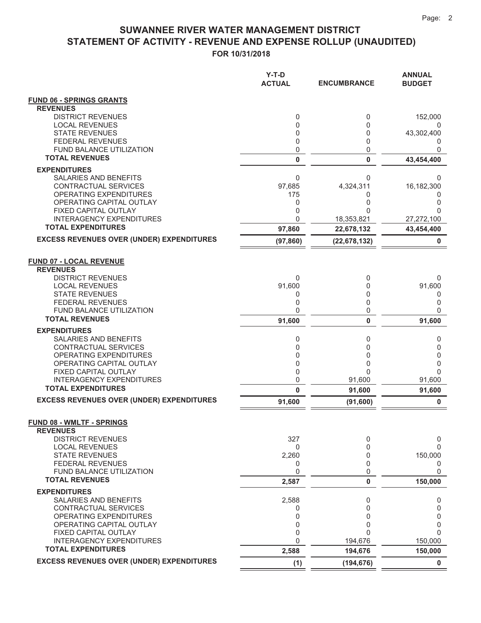#### FOR 10/31/2018 **67ATEMENT OF ACTIVITY - REVENUE AND EXPENSE ROLLUP (UNAUDITED) SUWANNEE RIVER WATER MANAGEMENT DISTRICT**

|                                                              | Y-T-D<br><b>ACTUAL</b> | <b>ENCUMBRANCE</b>           | <b>ANNUAL</b><br><b>BUDGET</b> |
|--------------------------------------------------------------|------------------------|------------------------------|--------------------------------|
| <b>FUND 06 - SPRINGS GRANTS</b>                              |                        |                              |                                |
| <b>REVENUES</b>                                              |                        |                              |                                |
| <b>DISTRICT REVENUES</b><br><b>LOCAL REVENUES</b>            | 0<br>0                 | 0<br>0                       | 152,000<br>0                   |
| <b>STATE REVENUES</b>                                        | 0                      | 0                            | 43,302,400                     |
| <b>FEDERAL REVENUES</b>                                      | 0                      | 0                            | 0                              |
| FUND BALANCE UTILIZATION                                     | 0                      | 0                            | 0                              |
| <b>TOTAL REVENUES</b>                                        | 0                      | 0                            | 43,454,400                     |
| <b>EXPENDITURES</b>                                          |                        |                              |                                |
| SALARIES AND BENEFITS<br>CONTRACTUAL SERVICES                | 0<br>97,685            | 0<br>4,324,311               | 0<br>16,182,300                |
| <b>OPERATING EXPENDITURES</b>                                | 175                    | 0                            | 0                              |
| OPERATING CAPITAL OUTLAY                                     | 0                      | 0                            | 0                              |
| FIXED CAPITAL OUTLAY                                         | 0                      | U                            | 0                              |
| <b>INTERAGENCY EXPENDITURES</b><br><b>TOTAL EXPENDITURES</b> | 0                      | 18,353,821                   | 27,272,100                     |
| <b>EXCESS REVENUES OVER (UNDER) EXPENDITURES</b>             | 97,860<br>(97, 860)    | 22,678,132<br>(22, 678, 132) | 43,454,400<br>0                |
|                                                              |                        |                              |                                |
| <b>FUND 07 - LOCAL REVENUE</b>                               |                        |                              |                                |
| <b>REVENUES</b>                                              |                        |                              |                                |
| <b>DISTRICT REVENUES</b>                                     | 0                      | 0                            | 0                              |
| <b>LOCAL REVENUES</b>                                        | 91,600                 | 0                            | 91,600                         |
| <b>STATE REVENUES</b><br><b>FEDERAL REVENUES</b>             | 0<br>0                 | 0<br>0                       | 0<br>0                         |
| <b>FUND BALANCE UTILIZATION</b>                              | 0                      | 0                            | 0                              |
| <b>TOTAL REVENUES</b>                                        | 91,600                 | 0                            | 91,600                         |
| <b>EXPENDITURES</b>                                          |                        |                              |                                |
| SALARIES AND BENEFITS                                        | 0                      | 0                            | 0                              |
| CONTRACTUAL SERVICES<br>OPERATING EXPENDITURES               | 0<br>0                 | 0<br>0                       | 0<br>0                         |
| OPERATING CAPITAL OUTLAY                                     | 0                      | 0                            | 0                              |
| FIXED CAPITAL OUTLAY                                         | 0                      | U                            | 0                              |
| <b>INTERAGENCY EXPENDITURES</b>                              | 0                      | 91,600                       | 91,600                         |
| <b>TOTAL EXPENDITURES</b>                                    | 0                      | 91,600                       | 91,600                         |
| <b>EXCESS REVENUES OVER (UNDER) EXPENDITURES</b>             | 91,600                 | (91, 600)                    | 0                              |
|                                                              |                        |                              |                                |
| <b>FUND 08 - WMLTF - SPRINGS</b><br><b>REVENUES</b>          |                        |                              |                                |
| <b>DISTRICT REVENUES</b>                                     | 327                    | 0                            | 0                              |
| <b>LOCAL REVENUES</b>                                        | 0                      | 0                            | $\Omega$                       |
| <b>STATE REVENUES</b>                                        | 2,260                  | 0<br>0                       | 150,000                        |
| <b>FEDERAL REVENUES</b><br><b>FUND BALANCE UTILIZATION</b>   | 0<br>0                 | 0                            | 0<br>$\Omega$                  |
| <b>TOTAL REVENUES</b>                                        | 2,587                  | 0                            | 150,000                        |
| <b>EXPENDITURES</b>                                          |                        |                              |                                |
| SALARIES AND BENEFITS                                        | 2,588                  | 0                            | 0                              |
| CONTRACTUAL SERVICES                                         | 0                      | $\Omega$                     | 0                              |
| <b>OPERATING EXPENDITURES</b><br>OPERATING CAPITAL OUTLAY    | 0<br>0                 | 0<br>0                       | 0<br>0                         |
| FIXED CAPITAL OUTLAY                                         | 0                      | 0                            | 0                              |
| <b>INTERAGENCY EXPENDITURES</b>                              | 0                      | 194,676                      | 150,000                        |
| <b>TOTAL EXPENDITURES</b>                                    | 2,588                  | 194,676                      | 150,000                        |
| <b>EXCESS REVENUES OVER (UNDER) EXPENDITURES</b>             | (1)                    | (194, 676)                   | 0                              |
|                                                              |                        |                              |                                |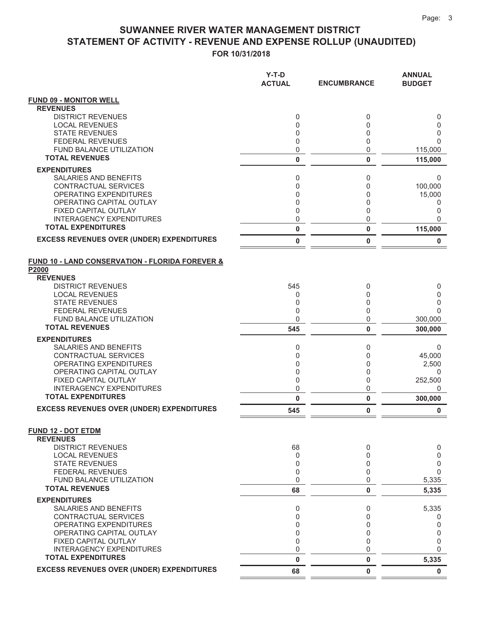#### SUWANNEE RIVER WATER MANAGEMENT DISTRICT STATEMENT OF ACTIVITY - REVENUE AND EXPENSE ROLLUP (UNAUDITED) FOR 10/31/2018

|                                                                     | Y-T-D<br><b>ACTUAL</b> | <b>ENCUMBRANCE</b> | <b>ANNUAL</b><br><b>BUDGET</b> |
|---------------------------------------------------------------------|------------------------|--------------------|--------------------------------|
| <b>FUND 09 - MONITOR WELL</b><br><b>REVENUES</b>                    |                        |                    |                                |
| <b>DISTRICT REVENUES</b>                                            | 0                      | 0                  | 0                              |
| <b>LOCAL REVENUES</b>                                               | 0                      | 0                  | 0                              |
| <b>STATE REVENUES</b>                                               | 0                      | 0                  | 0                              |
| <b>FEDERAL REVENUES</b>                                             | 0                      | 0                  | $\Omega$                       |
| <b>FUND BALANCE UTILIZATION</b>                                     | $\mathbf 0$            | 0                  | 115,000                        |
| <b>TOTAL REVENUES</b>                                               | $\pmb{0}$              | 0                  | 115,000                        |
| <b>EXPENDITURES</b>                                                 |                        |                    |                                |
| SALARIES AND BENEFITS                                               | 0                      | 0                  | 0                              |
| CONTRACTUAL SERVICES                                                | 0                      | 0                  | 100,000                        |
| <b>OPERATING EXPENDITURES</b>                                       | 0                      | 0                  | 15,000                         |
| OPERATING CAPITAL OUTLAY                                            | 0                      | 0                  | 0                              |
| FIXED CAPITAL OUTLAY                                                | $\mathbf 0$            | 0                  | 0                              |
| INTERAGENCY EXPENDITURES                                            | 0                      | 0                  | $\Omega$                       |
| <b>TOTAL EXPENDITURES</b>                                           | $\pmb{0}$              | 0                  | 115,000                        |
| <b>EXCESS REVENUES OVER (UNDER) EXPENDITURES</b>                    | $\pmb{0}$              | 0                  | 0                              |
| <b>FUND 10 - LAND CONSERVATION - FLORIDA FOREVER &amp;</b><br>P2000 |                        |                    |                                |
| <b>REVENUES</b>                                                     |                        |                    |                                |
| <b>DISTRICT REVENUES</b>                                            | 545                    | 0                  | 0                              |
| <b>LOCAL REVENUES</b>                                               | 0                      | 0                  | 0                              |
| <b>STATE REVENUES</b><br><b>FEDERAL REVENUES</b>                    | 0<br>$\mathbf 0$       | 0<br>0             | 0<br>$\Omega$                  |
| FUND BALANCE UTILIZATION                                            | $\mathbf 0$            | 0                  | 300,000                        |
| <b>TOTAL REVENUES</b>                                               | 545                    | 0                  | 300,000                        |
|                                                                     |                        |                    |                                |
| <b>EXPENDITURES</b><br>SALARIES AND BENEFITS                        | 0                      |                    |                                |
| CONTRACTUAL SERVICES                                                | 0                      | 0<br>0             | 0<br>45,000                    |
| <b>OPERATING EXPENDITURES</b>                                       | $\mathbf 0$            | 0                  | 2,500                          |
| OPERATING CAPITAL OUTLAY                                            | $\mathbf 0$            | 0                  | 0                              |
| FIXED CAPITAL OUTLAY                                                | 0                      | 0                  | 252,500                        |
| <b>INTERAGENCY EXPENDITURES</b>                                     | $\mathbf 0$            | 0                  | 0                              |
| <b>TOTAL EXPENDITURES</b>                                           | $\bf{0}$               | 0                  | 300,000                        |
| <b>EXCESS REVENUES OVER (UNDER) EXPENDITURES</b>                    | 545                    | 0                  | 0                              |
| <b>FUND 12 - DOT ETDM</b><br><b>REVENUES</b>                        |                        |                    |                                |
| <b>DISTRICT REVENUES</b>                                            | 68                     | 0                  | 0                              |
| <b>LOCAL REVENUES</b>                                               | 0                      | 0                  | 0                              |
| <b>STATE REVENUES</b>                                               | 0                      | 0                  | 0<br>$\Omega$                  |
| <b>FEDERAL REVENUES</b><br><b>FUND BALANCE UTILIZATION</b>          | $\mathbf 0$<br>0       | 0<br>0             | 5,335                          |
| <b>TOTAL REVENUES</b>                                               | 68                     | 0                  | 5,335                          |
| <b>EXPENDITURES</b>                                                 |                        |                    |                                |
| SALARIES AND BENEFITS                                               | 0                      | 0                  | 5,335                          |
| <b>CONTRACTUAL SERVICES</b>                                         | $\mathbf 0$            | 0                  | 0                              |
| <b>OPERATING EXPENDITURES</b>                                       | $\mathbf{0}$           | 0                  | 0                              |
| OPERATING CAPITAL OUTLAY                                            | $\mathbf{0}$           | 0                  | 0                              |
| FIXED CAPITAL OUTLAY                                                | $\mathbf{0}$           | 0                  | 0                              |
| <b>INTERAGENCY EXPENDITURES</b><br><b>TOTAL EXPENDITURES</b>        | 0                      | 0                  | $\Omega$                       |
| <b>EXCESS REVENUES OVER (UNDER) EXPENDITURES</b>                    | $\bf{0}$<br>68         | 0<br>0             | 5,335<br>$\mathbf 0$           |
|                                                                     |                        |                    |                                |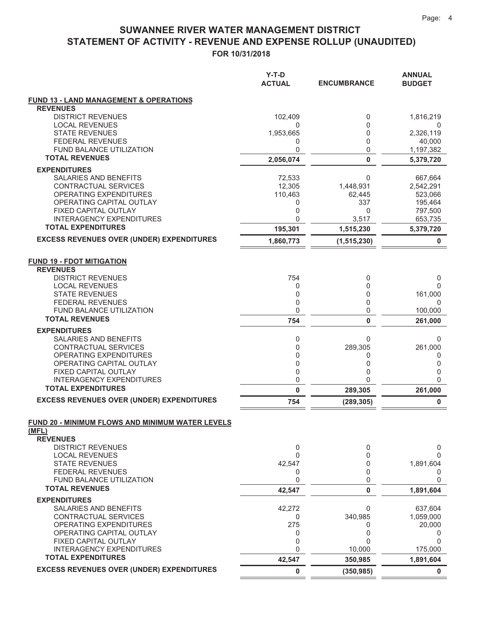#### FOR 10/31/2018 **67ATEMENT OF ACTIVITY - REVENUE AND EXPENSE ROLLUP (UNAUDITED) SUWANNEE RIVER WATER MANAGEMENT DISTRICT**

|                                                                              | $Y-T-D$<br><b>ACTUAL</b> | <b>ENCUMBRANCE</b>    | <b>ANNUAL</b><br><b>BUDGET</b> |
|------------------------------------------------------------------------------|--------------------------|-----------------------|--------------------------------|
| <b>FUND 13 - LAND MANAGEMENT &amp; OPERATIONS</b>                            |                          |                       |                                |
| <b>REVENUES</b><br><b>DISTRICT REVENUES</b>                                  | 102,409                  | 0                     | 1,816,219                      |
| <b>LOCAL REVENUES</b>                                                        | 0                        | 0                     | 0                              |
| <b>STATE REVENUES</b>                                                        | 1,953,665                | 0                     | 2,326,119                      |
| <b>FEDERAL REVENUES</b><br><b>FUND BALANCE UTILIZATION</b>                   | 0                        | 0                     | 40,000                         |
| <b>TOTAL REVENUES</b>                                                        | 0<br>2,056,074           | 0<br>$\bf{0}$         | 1,197,382<br>5,379,720         |
| <b>EXPENDITURES</b>                                                          |                          |                       |                                |
| SALARIES AND BENEFITS                                                        | 72,533                   | $\mathbf 0$           | 667,664                        |
| CONTRACTUAL SERVICES                                                         | 12,305                   | 1,448,931             | 2,542,291                      |
| OPERATING EXPENDITURES                                                       | 110,463                  | 62,445                | 523,066                        |
| OPERATING CAPITAL OUTLAY<br>FIXED CAPITAL OUTLAY                             | 0<br>0                   | 337<br>0              | 195,464<br>797,500             |
| <b>INTERAGENCY EXPENDITURES</b>                                              | 0                        | 3,517                 | 653,735                        |
| <b>TOTAL EXPENDITURES</b>                                                    | 195,301                  | 1,515,230             | 5,379,720                      |
| <b>EXCESS REVENUES OVER (UNDER) EXPENDITURES</b>                             | 1,860,773                | (1, 515, 230)         | 0                              |
| <b>FUND 19 - FDOT MITIGATION</b>                                             |                          |                       |                                |
| <b>REVENUES</b><br><b>DISTRICT REVENUES</b>                                  | 754                      | 0                     | 0                              |
| <b>LOCAL REVENUES</b>                                                        | 0                        | 0                     | 0                              |
| <b>STATE REVENUES</b>                                                        | 0                        | 0                     | 161,000                        |
| <b>FEDERAL REVENUES</b>                                                      | 0                        | $\Omega$              | 0                              |
| FUND BALANCE UTILIZATION<br><b>TOTAL REVENUES</b>                            | 0<br>754                 | 0<br>0                | 100,000<br>261,000             |
| <b>EXPENDITURES</b>                                                          |                          |                       |                                |
| SALARIES AND BENEFITS                                                        | 0                        | $\Omega$              | 0                              |
| CONTRACTUAL SERVICES                                                         | 0                        | 289,305               | 261,000                        |
| OPERATING EXPENDITURES                                                       | 0                        | 0                     | 0                              |
| OPERATING CAPITAL OUTLAY<br>FIXED CAPITAL OUTLAY                             | 0<br>0                   | 0<br>0                | 0<br>0                         |
| <b>INTERAGENCY EXPENDITURES</b>                                              | 0                        | $\Omega$              | 0                              |
| <b>TOTAL EXPENDITURES</b>                                                    | 0                        | 289,305               | 261,000                        |
| <b>EXCESS REVENUES OVER (UNDER) EXPENDITURES</b>                             | 754                      | (289, 305)            | $\bf{0}$                       |
| FUND 20 - MINIMUM FLOWS AND MINIMUM WATER LEVELS<br>(MFL)<br><b>REVENUES</b> |                          |                       |                                |
| <b>DISTRICT REVENUES</b>                                                     | 0                        | 0                     | $\mathbf 0$                    |
| <b>LOCAL REVENUES</b><br><b>STATE REVENUES</b>                               | 0<br>42,547              | 0<br>0                | 0<br>1,891,604                 |
| FEDERAL REVENUES                                                             | 0                        | 0                     | 0                              |
| FUND BALANCE UTILIZATION                                                     | 0                        | 0                     | 0                              |
| <b>TOTAL REVENUES</b>                                                        | 42,547                   | $\pmb{0}$             | 1,891,604                      |
| <b>EXPENDITURES</b>                                                          |                          |                       |                                |
| <b>SALARIES AND BENEFITS</b><br>CONTRACTUAL SERVICES                         | 42,272<br>0              | 0<br>340,985          | 637.604<br>1,059,000           |
| OPERATING EXPENDITURES                                                       | 275                      | 0                     | 20,000                         |
| OPERATING CAPITAL OUTLAY                                                     | 0                        | 0                     | 0                              |
| FIXED CAPITAL OUTLAY                                                         | 0                        | 0                     | 0                              |
| <b>INTERAGENCY EXPENDITURES</b><br><b>TOTAL EXPENDITURES</b>                 | 0                        | 10,000                | 175,000                        |
| <b>EXCESS REVENUES OVER (UNDER) EXPENDITURES</b>                             | 42,547<br>0              | 350,985<br>(350, 985) | 1,891,604<br>0                 |
|                                                                              |                          |                       |                                |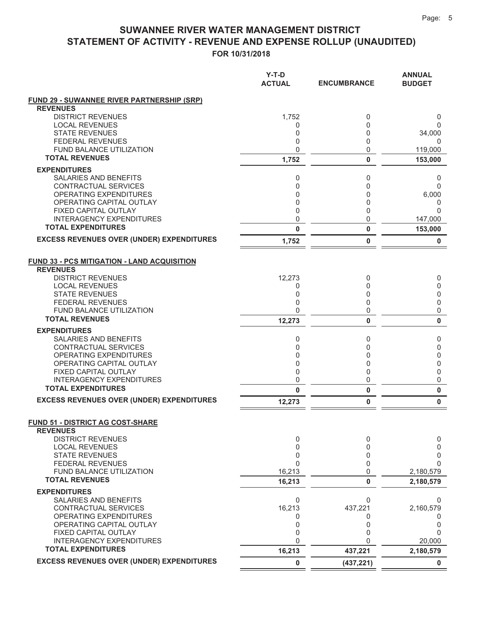### SUWANNEE RIVER WATER MANAGEMENT DISTRICT STATEMENT OF ACTIVITY - REVENUE AND EXPENSE ROLLUP (UNAUDITED)

FOR 10/31/2018

|                                                                      | Y-T-D<br><b>ACTUAL</b> | <b>ENCUMBRANCE</b> | <b>ANNUAL</b><br><b>BUDGET</b> |
|----------------------------------------------------------------------|------------------------|--------------------|--------------------------------|
| <b>FUND 29 - SUWANNEE RIVER PARTNERSHIP (SRP)</b><br><b>REVENUES</b> |                        |                    |                                |
| <b>DISTRICT REVENUES</b>                                             | 1,752                  | 0                  | 0                              |
| <b>LOCAL REVENUES</b>                                                | 0                      | 0                  | $\Omega$                       |
| <b>STATE REVENUES</b><br><b>FEDERAL REVENUES</b>                     | 0<br>0                 | 0<br>0             | 34,000<br>0                    |
| <b>FUND BALANCE UTILIZATION</b>                                      | $\mathbf 0$            | 0                  | 119,000                        |
| <b>TOTAL REVENUES</b>                                                | 1,752                  | 0                  | 153,000                        |
| <b>EXPENDITURES</b>                                                  |                        |                    |                                |
| SALARIES AND BENEFITS                                                | 0                      | 0                  | 0                              |
| CONTRACTUAL SERVICES                                                 | 0                      | 0                  | $\Omega$                       |
| <b>OPERATING EXPENDITURES</b>                                        | 0                      | 0                  | 6,000                          |
| OPERATING CAPITAL OUTLAY                                             | 0                      | 0                  | 0                              |
| FIXED CAPITAL OUTLAY<br><b>INTERAGENCY EXPENDITURES</b>              | $\mathbf 0$<br>0       | 0<br>0             | $\Omega$<br>147,000            |
| <b>TOTAL EXPENDITURES</b>                                            | 0                      | 0                  | 153,000                        |
| <b>EXCESS REVENUES OVER (UNDER) EXPENDITURES</b>                     | 1,752                  | 0                  | 0                              |
| <b>FUND 33 - PCS MITIGATION - LAND ACQUISITION</b>                   |                        |                    |                                |
| <b>REVENUES</b>                                                      |                        |                    |                                |
| <b>DISTRICT REVENUES</b><br><b>LOCAL REVENUES</b>                    | 12,273<br>0            | 0<br>0             | 0<br>0                         |
| <b>STATE REVENUES</b>                                                | 0                      | 0                  | 0                              |
| <b>FEDERAL REVENUES</b>                                              | 0                      | 0                  | 0                              |
| <b>FUND BALANCE UTILIZATION</b>                                      | 0                      | 0                  | 0                              |
| <b>TOTAL REVENUES</b>                                                | 12,273                 | 0                  | $\bf{0}$                       |
| <b>EXPENDITURES</b>                                                  |                        |                    |                                |
| SALARIES AND BENEFITS                                                | 0                      | 0                  | 0                              |
| CONTRACTUAL SERVICES                                                 | 0                      | 0                  | 0                              |
| <b>OPERATING EXPENDITURES</b><br>OPERATING CAPITAL OUTLAY            | 0<br>0                 | 0<br>0             | 0<br>0                         |
| FIXED CAPITAL OUTLAY                                                 | $\mathbf 0$            | 0                  | 0                              |
| <b>INTERAGENCY EXPENDITURES</b>                                      | 0                      | 0                  | 0                              |
| <b>TOTAL EXPENDITURES</b>                                            | 0                      | 0                  | $\bf{0}$                       |
| <b>EXCESS REVENUES OVER (UNDER) EXPENDITURES</b>                     | 12,273                 | 0                  | $\bf{0}$                       |
| <b>FUND 51 - DISTRICT AG COST-SHARE</b>                              |                        |                    |                                |
| <b>REVENUES</b><br><b>DISTRICT REVENUES</b>                          | 0                      | 0                  | 0                              |
| <b>LOCAL REVENUES</b>                                                | $\mathbf 0$            | 0                  | 0                              |
| <b>STATE REVENUES</b>                                                | 0                      | 0                  | 0                              |
| <b>FEDERAL REVENUES</b>                                              | $\overline{0}$         | 0                  | $\Omega$                       |
| <b>FUND BALANCE UTILIZATION</b>                                      | 16,213                 | 0                  | 2,180,579                      |
| <b>TOTAL REVENUES</b>                                                | 16,213                 | 0                  | 2,180,579                      |
| <b>EXPENDITURES</b>                                                  |                        |                    |                                |
| SALARIES AND BENEFITS                                                | 0                      | 0                  | 0                              |
| CONTRACTUAL SERVICES<br><b>OPERATING EXPENDITURES</b>                | 16,213<br>0            | 437,221<br>0       | 2,160,579<br>0                 |
| OPERATING CAPITAL OUTLAY                                             | 0                      | 0                  | 0                              |
| FIXED CAPITAL OUTLAY                                                 | $\mathbf 0$            | 0                  | $\Omega$                       |
| <b>INTERAGENCY EXPENDITURES</b>                                      | $\overline{0}$         | 0                  | 20,000                         |
| <b>TOTAL EXPENDITURES</b>                                            | 16,213                 | 437,221            | 2,180,579                      |
| <b>EXCESS REVENUES OVER (UNDER) EXPENDITURES</b>                     | 0                      | (437, 221)         | 0                              |

 $\equiv$ 

 $\stackrel{.}{=}$  =